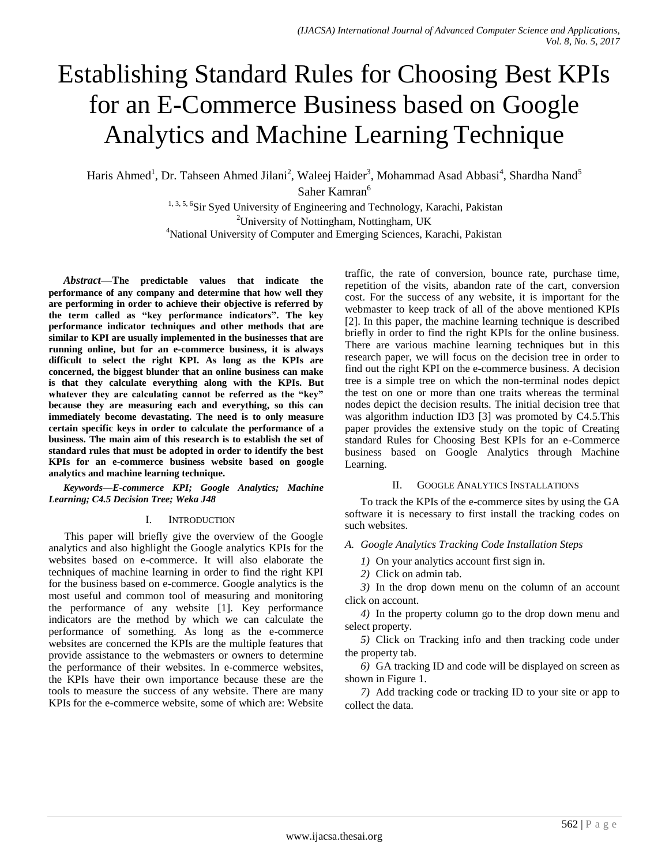# Establishing Standard Rules for Choosing Best KPIs for an E-Commerce Business based on Google Analytics and Machine Learning Technique

Haris Ahmed<sup>1</sup>, Dr. Tahseen Ahmed Jilani<sup>2</sup>, Waleej Haider<sup>3</sup>, Mohammad Asad Abbasi<sup>4</sup>, Shardha Nand<sup>5</sup> Saher Kamran<sup>6</sup>

> <sup>1, 3, 5, 6</sup>Sir Syed University of Engineering and Technology, Karachi, Pakistan <sup>2</sup>University of Nottingham, Nottingham, UK <sup>4</sup>National University of Computer and Emerging Sciences, Karachi, Pakistan

*Abstract—***The predictable values that indicate the performance of any company and determine that how well they are performing in order to achieve their objective is referred by the term called as "key performance indicators". The key performance indicator techniques and other methods that are similar to KPI are usually implemented in the businesses that are running online, but for an e-commerce business, it is always difficult to select the right KPI. As long as the KPIs are concerned, the biggest blunder that an online business can make is that they calculate everything along with the KPIs. But whatever they are calculating cannot be referred as the "key" because they are measuring each and everything, so this can immediately become devastating. The need is to only measure certain specific keys in order to calculate the performance of a business. The main aim of this research is to establish the set of standard rules that must be adopted in order to identify the best KPIs for an e-commerce business website based on google analytics and machine learning technique.**

#### *Keywords—E-commerce KPI; Google Analytics; Machine Learning; C4.5 Decision Tree; Weka J48*

## I. INTRODUCTION

This paper will briefly give the overview of the Google analytics and also highlight the Google analytics KPIs for the websites based on e-commerce. It will also elaborate the techniques of machine learning in order to find the right KPI for the business based on e-commerce. Google analytics is the most useful and common tool of measuring and monitoring the performance of any website [1]. Key performance indicators are the method by which we can calculate the performance of something. As long as the e-commerce websites are concerned the KPIs are the multiple features that provide assistance to the webmasters or owners to determine the performance of their websites. In e-commerce websites, the KPIs have their own importance because these are the tools to measure the success of any website. There are many KPIs for the e-commerce website, some of which are: Website traffic, the rate of conversion, bounce rate, purchase time, repetition of the visits, abandon rate of the cart, conversion cost. For the success of any website, it is important for the webmaster to keep track of all of the above mentioned KPIs [2]. In this paper, the machine learning technique is described briefly in order to find the right KPIs for the online business. There are various machine learning techniques but in this research paper, we will focus on the decision tree in order to find out the right KPI on the e-commerce business. A decision tree is a simple tree on which the non-terminal nodes depict the test on one or more than one traits whereas the terminal nodes depict the decision results. The initial decision tree that was algorithm induction ID3 [3] was promoted by C4.5.This paper provides the extensive study on the topic of Creating standard Rules for Choosing Best KPIs for an e-Commerce business based on Google Analytics through Machine Learning.

#### II. GOOGLE ANALYTICS INSTALLATIONS

To track the KPIs of the e-commerce sites by using the GA software it is necessary to first install the tracking codes on such websites.

*A. Google Analytics Tracking Code Installation Steps*

*1)* On your analytics account first sign in.

*2)* Click on admin tab.

*3)* In the drop down menu on the column of an account click on account.

*4)* In the property column go to the drop down menu and select property.

*5)* Click on Tracking info and then tracking code under the property tab.

*6)* GA tracking ID and code will be displayed on screen as shown in Figure 1.

*7)* Add tracking code or tracking ID to your site or app to collect the data.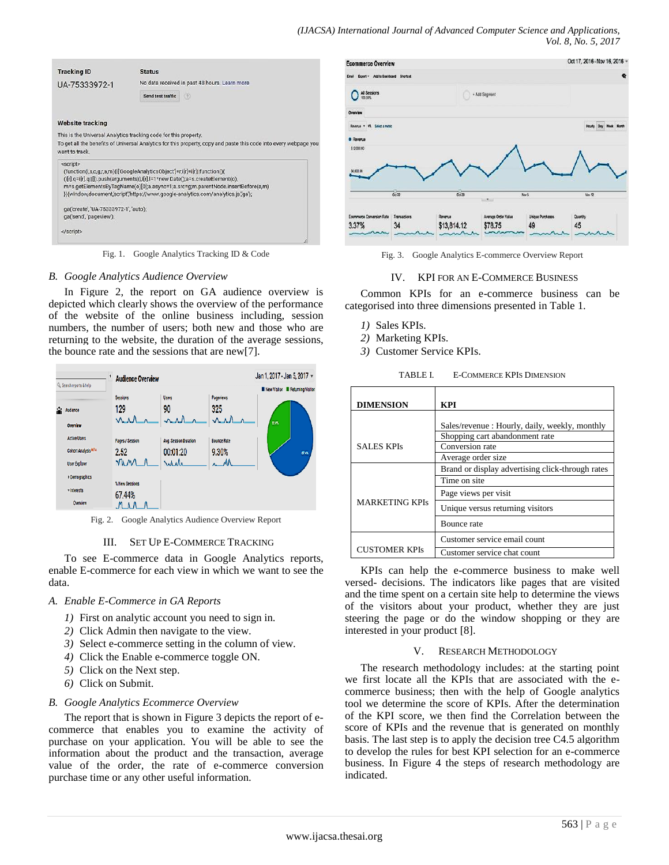| No data received in past 48 hours. Learn more<br>UA-75333972-1<br>(7)<br>Send test traffic<br>Website tracking<br>This is the Universal Analytics tracking code for this property.<br>To get all the benefits of Universal Analytics for this property, copy and paste this code into every webpage y<br>want to track.<br><script><br>(function(i,s,o,g,r,a,m)(i['GoogleAnalyticsObject']=r;i[r]=i[r]  function(){<br>(i[r].q=i[r].q  []).push(arguments)),i[r].l=1*new Date();a=s.createElement(o),</th><th></th></tr><tr><td></td><td></td></tr><tr><td></td><td></td></tr><tr><td></td><td></td></tr><tr><td></td><td></td></tr><tr><td>m=s.getElementsByTagName(o)[0];a.async=1;a.src=g;m.parentNode.insertBefore(a,m)<br>})(window,document/script',https://www.google-analytics.com/analytics.js'/ga');</td><td></td></tr><tr><td>ga('create', 'UA-75333972-1', 'auto');<br>ga('send', 'pageview');</td><td></td></tr><tr><td></script> <td></td> |  |
|----------------------------------------------------------------------------------------------------------------------------------------------------------------------------------------------------------------------------------------------------------------------------------------------------------------------------------------------------------------------------------------------------------------------------------------------------------------------------------------------------------------------------------------------------------------------------------------------------------------------------------------------------------------------------------------------------------------------------------------------------------------------------------------------------------------------------------------------------------------------------------------------------------------------------------------------------------|--|
|----------------------------------------------------------------------------------------------------------------------------------------------------------------------------------------------------------------------------------------------------------------------------------------------------------------------------------------------------------------------------------------------------------------------------------------------------------------------------------------------------------------------------------------------------------------------------------------------------------------------------------------------------------------------------------------------------------------------------------------------------------------------------------------------------------------------------------------------------------------------------------------------------------------------------------------------------------|--|

Fig. 1. Google Analytics Tracking ID & Code

#### *B. Google Analytics Audience Overview*

In Figure 2, the report on GA audience overview is depicted which clearly shows the overview of the performance of the website of the online business including, session numbers, the number of users; both new and those who are returning to the website, the duration of the average sessions, the bounce rate and the sessions that are new[7].



Fig. 2. Google Analytics Audience Overview Report

## III. SET UP E-COMMERCE TRACKING

To see E-commerce data in Google Analytics reports, enable E-commerce for each view in which we want to see the data.

## *A. Enable E-Commerce in GA Reports*

- *1)* First on analytic account you need to sign in.
- *2)* Click Admin then navigate to the view.
- *3)* Select e-commerce setting in the column of view.
- *4)* Click the Enable e-commerce toggle ON.
- *5)* Click on the Next step.
- *6)* Click on Submit.

## *B. Google Analytics Ecommerce Overview*

The report that is shown in Figure 3 depicts the report of ecommerce that enables you to examine the activity of purchase on your application. You will be able to see the information about the product and the transaction, average value of the order, the rate of e-commerce conversion purchase time or any other useful information.



Fig. 3. Google Analytics E-commerce Overview Report

#### IV. KPI FOR AN E-COMMERCE BUSINESS

Common KPIs for an e-commerce business can be categorised into three dimensions presented in Table 1.

- *1)* Sales KPIs.
- *2)* Marketing KPIs.
- *3)* Customer Service KPIs.

| <b>DIMENSION</b>      | KPI                                                                    |
|-----------------------|------------------------------------------------------------------------|
|                       | Sales/revenue: Hourly, daily, weekly, monthly                          |
| <b>SALES KPIs</b>     | Shopping cart abandonment rate<br>Conversion rate                      |
|                       | Average order size<br>Brand or display advertising click-through rates |
|                       | Time on site                                                           |
| <b>MARKETING KPIs</b> | Page views per visit                                                   |
|                       | Unique versus returning visitors                                       |
|                       | Bounce rate                                                            |
|                       | Customer service email count                                           |
| <b>CUSTOMER KPIs</b>  | Customer service chat count                                            |

KPIs can help the e-commerce business to make well versed- decisions. The indicators like pages that are visited and the time spent on a certain site help to determine the views of the visitors about your product, whether they are just steering the page or do the window shopping or they are interested in your product [8].

## V. RESEARCH METHODOLOGY

The research methodology includes: at the starting point we first locate all the KPIs that are associated with the ecommerce business; then with the help of Google analytics tool we determine the score of KPIs. After the determination of the KPI score, we then find the Correlation between the score of KPIs and the revenue that is generated on monthly basis. The last step is to apply the decision tree C4.5 algorithm to develop the rules for best KPI selection for an e-commerce business. In Figure 4 the steps of research methodology are indicated.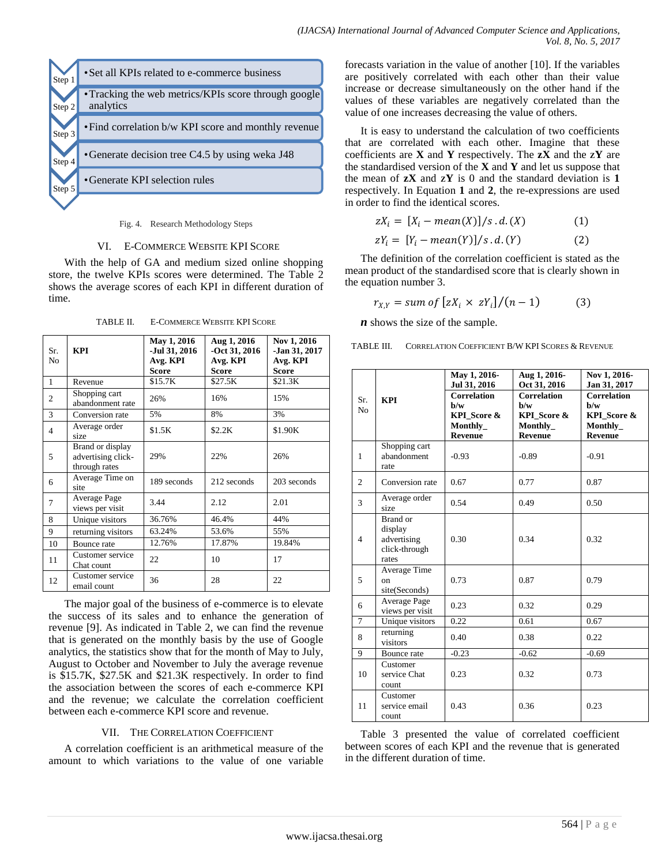

Fig. 4. Research Methodology Steps

#### VI. E-COMMERCE WEBSITE KPI SCORE

With the help of GA and medium sized online shopping store, the twelve KPIs scores were determined. The Table 2 shows the average scores of each KPI in different duration of time.

TABLE II. E-COMMERCE WEBSITE KPI SCORE

| Sr.<br>N <sub>o</sub> | <b>KPI</b>                                              | <b>May 1, 2016</b><br>-Jul 31, 2016<br>Avg. KPI<br>Score | Aug 1, 2016<br>$-$ Oct 31, 2016<br>Avg. KPI<br><b>Score</b> | Nov 1, 2016<br>-Jan 31, 2017<br>Avg. KPI<br>Score |
|-----------------------|---------------------------------------------------------|----------------------------------------------------------|-------------------------------------------------------------|---------------------------------------------------|
| $\mathbf{1}$          | Revenue                                                 | \$15.7K                                                  | \$27.5K                                                     | \$21.3K                                           |
| 2                     | Shopping cart<br>abandonment rate                       | 26%                                                      | 16%                                                         | 15%                                               |
| 3                     | Conversion rate                                         | 5%                                                       | 8%                                                          | 3%                                                |
| $\overline{4}$        | Average order<br>size                                   | \$1.5K                                                   | \$2.2K                                                      | \$1.90K                                           |
| 5                     | Brand or display<br>advertising click-<br>through rates | 29%                                                      | 22%                                                         | 26%                                               |
| 6                     | Average Time on<br>site                                 | 189 seconds                                              | 212 seconds                                                 | 203 seconds                                       |
| 7                     | Average Page<br>views per visit                         | 3.44                                                     | 2.12                                                        | 2.01                                              |
| 8                     | Unique visitors                                         | 36.76%                                                   | 46.4%                                                       | 44%                                               |
| 9                     | returning visitors                                      | 63.24%                                                   | 53.6%                                                       | 55%                                               |
| 10                    | Bounce rate                                             | 12.76%                                                   | 17.87%                                                      | 19.84%                                            |
| 11                    | Customer service<br>Chat count                          | 22                                                       | 10                                                          | 17                                                |
| 12                    | Customer service<br>email count                         | 36                                                       | 28                                                          | 22                                                |

The major goal of the business of e-commerce is to elevate the success of its sales and to enhance the generation of revenue [9]. As indicated in Table 2, we can find the revenue that is generated on the monthly basis by the use of Google analytics, the statistics show that for the month of May to July, August to October and November to July the average revenue is \$15.7K, \$27.5K and \$21.3K respectively. In order to find the association between the scores of each e-commerce KPI and the revenue; we calculate the correlation coefficient between each e-commerce KPI score and revenue.

## VII. THE CORRELATION COEFFICIENT

A correlation coefficient is an arithmetical measure of the amount to which variations to the value of one variable forecasts variation in the value of another [10]. If the variables are positively correlated with each other than their value increase or decrease simultaneously on the other hand if the values of these variables are negatively correlated than the value of one increases decreasing the value of others.

It is easy to understand the calculation of two coefficients that are correlated with each other. Imagine that these coefficients are **X** and **Y** respectively. The **zX** and the **ZY** are the standardised version of the **X** and **Y** and let us suppose that the mean of **zX** and **ZY** is 0 and the standard deviation is **1** respectively. In Equation **1** and **2**, the re-expressions are used in order to find the identical scores.

$$
zX_i = [X_i - mean(X)]/s.d. (X)
$$
 (1)

$$
zY_i = [Y_i - mean(Y)]/s.d. (Y)
$$
 (2)

The definition of the correlation coefficient is stated as the mean product of the standardised score that is clearly shown in the equation number 3.

$$
r_{XY} = sum of [zX_i \times zY_i]/(n-1)
$$
 (3)

*n* shows the size of the sample.

TABLE III. CORRELATION COEFFICIENT B/W KPI SCORES & REVENUE

|                       |                                                                      | May 1, 2016-<br>Jul 31, 2016                                                               | Aug 1, 2016-<br>Oct 31, 2016                                                              | Nov 1, 2016-<br>Jan 31, 2017                                                               |  |
|-----------------------|----------------------------------------------------------------------|--------------------------------------------------------------------------------------------|-------------------------------------------------------------------------------------------|--------------------------------------------------------------------------------------------|--|
| Sr.<br>N <sub>0</sub> | <b>KPI</b>                                                           | <b>Correlation</b><br>$\mathbf{b}/\mathbf{w}$<br>KPI_Score &<br>Monthly_<br><b>Revenue</b> | <b>Correlation</b><br>$\mathbf{b}/\mathbf{w}$<br>KPI Score &<br>Monthly<br><b>Revenue</b> | <b>Correlation</b><br>$\mathbf{b}/\mathbf{w}$<br>KPI Score &<br>Monthly_<br><b>Revenue</b> |  |
| $\mathbf{1}$          | Shopping cart<br>abandonment<br>rate                                 | $-0.93$                                                                                    | $-0.89$                                                                                   | $-0.91$                                                                                    |  |
| $\overline{2}$        | Conversion rate                                                      | 0.67                                                                                       | 0.77                                                                                      | 0.87                                                                                       |  |
| 3                     | Average order<br>size                                                | 0.54                                                                                       | 0.49                                                                                      | 0.50                                                                                       |  |
| $\overline{4}$        | Brand or<br>display<br>advertising<br>0.30<br>click-through<br>rates |                                                                                            | 0.34                                                                                      | 0.32<br>0.79<br>0.29                                                                       |  |
| 5                     | Average Time<br>on<br>site(Seconds)                                  | 0.73<br>0.87                                                                               |                                                                                           |                                                                                            |  |
| 6                     | Average Page<br>0.23<br>views per visit                              |                                                                                            | 0.32                                                                                      |                                                                                            |  |
| $\overline{7}$        | Unique visitors                                                      | 0.22                                                                                       | 0.61                                                                                      | 0.67                                                                                       |  |
| 8                     | returning<br>visitors                                                | 0.40                                                                                       | 0.38                                                                                      | 0.22                                                                                       |  |
| 9                     | Bounce rate                                                          | $-0.23$                                                                                    | $-0.62$                                                                                   | $-0.69$                                                                                    |  |
| 10                    | Customer<br>service Chat<br>count                                    | 0.23                                                                                       | 0.32                                                                                      | 0.73                                                                                       |  |
| 11                    | Customer<br>service email<br>count                                   | 0.43                                                                                       | 0.36                                                                                      | 0.23                                                                                       |  |

Table 3 presented the value of correlated coefficient between scores of each KPI and the revenue that is generated in the different duration of time.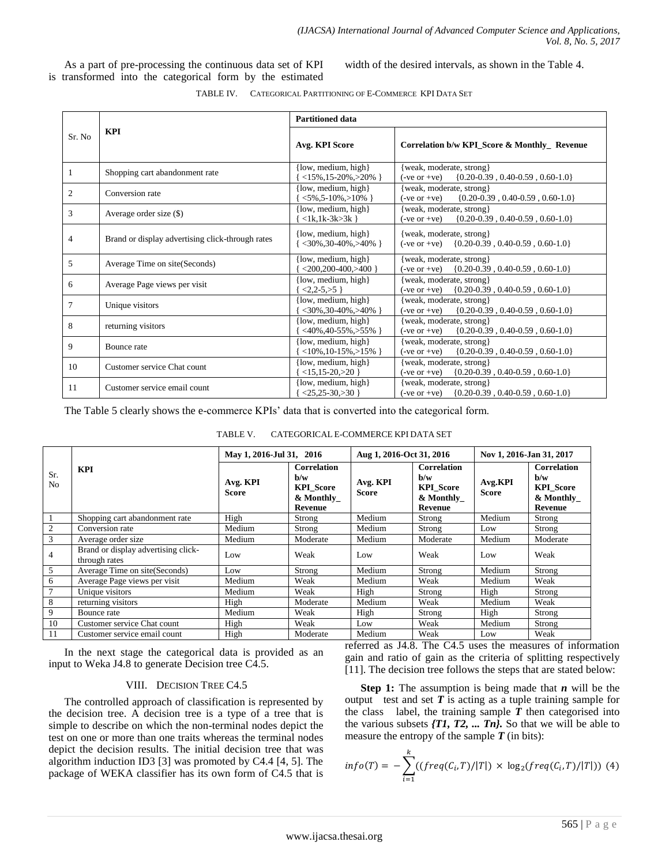As a part of pre-processing the continuous data set of KPI is transformed into the categorical form by the estimated

width of the desired intervals, as shown in the Table 4.

| TABLE IV. | CATEGORICAL PARTITIONING OF E-COMMERCE KPI DATA SET |  |
|-----------|-----------------------------------------------------|--|
|           |                                                     |  |

|                |                                                  | <b>Partitioned data</b>                                           |                                                                                          |  |
|----------------|--------------------------------------------------|-------------------------------------------------------------------|------------------------------------------------------------------------------------------|--|
| Sr. No         | <b>KPI</b>                                       | Avg. KPI Score                                                    | Correlation b/w KPI_Score & Monthly_ Revenue                                             |  |
|                | Shopping cart abandonment rate                   | [low, medium, high]<br>$<15\%, 15-20\% > 20\%$                    | {weak, moderate, strong}<br>$\{0.20 - 0.39, 0.40 - 0.59, 0.60 - 1.0\}$<br>$(-ve or +ve)$ |  |
| 2              | Conversion rate                                  | (low, medium, high)<br>$<$ 5%, 5-10%, >10% }                      | {weak, moderate, strong}<br>$\{0.20 - 0.39, 0.40 - 0.59, 0.60 - 1.0\}$<br>$(-ve or +ve)$ |  |
| 3              | Average order size (\$)                          | $\{low, medium, high\}$<br>$\langle 1k, 1k-3k\rangle 3k$          | {weak, moderate, strong}<br>$\{0.20 - 0.39, 0.40 - 0.59, 0.60 - 1.0\}$<br>$(-ve or +ve)$ |  |
| $\overline{4}$ | Brand or display advertising click-through rates | $\{low, medium, high\}$<br>$\langle 30\%, 30-40\%, >40\% \rangle$ | {weak, moderate, strong}<br>$(-ve or +ve)$ {0.20-0.39, 0.40-0.59, 0.60-1.0}              |  |
| 5              | Average Time on site(Seconds)                    | $\{low, medium, high\}$<br>$<$ 200,200-400,>400 }                 | {weak, moderate, strong}<br>$(-ve or +ve)$ {0.20-0.39, 0.40-0.59, 0.60-1.0}              |  |
| 6              | Average Page views per visit                     | (low, medium, high)<br>$<2.2 - 5 > 5$                             | {weak, moderate, strong}<br>$(-ve or +ve)$ {0.20-0.39, 0.40-0.59, 0.60-1.0}              |  |
| 7              | Unique visitors                                  | $\{low, medium, high\}$<br>$<30\%$ , 30-40%, >40% }               | {weak, moderate, strong}<br>$(-ve or +ve)$<br>$\{0.20 - 0.39, 0.40 - 0.59, 0.60 - 1.0\}$ |  |
| 8              | returning visitors                               | (low, medium, high)<br>$<40\%$ , 40-55%, >55% }                   | {weak, moderate, strong}<br>$\{0.20 - 0.39, 0.40 - 0.59, 0.60 - 1.0\}$<br>$(-ve or +ve)$ |  |
| 9              | Bounce rate                                      | {low, medium, high}<br>$<10\%$ , 10-15%, >15% }                   | {weak, moderate, strong}<br>$(-ve or +ve)$<br>$\{0.20 - 0.39, 0.40 - 0.59, 0.60 - 1.0\}$ |  |
| 10             | Customer service Chat count                      | $\{low, medium, high\}$<br>$<15,15-20,>20$                        | {weak, moderate, strong}<br>$(-ve or +ve)$ {0.20-0.39, 0.40-0.59, 0.60-1.0}              |  |
| 11             | Customer service email count                     | [low, medium, high]<br>$<25,25-30,>30$ }                          | {weak, moderate, strong}<br>$(-ve or +ve)$ {0.20-0.39, 0.40-0.59, 0.60-1.0}              |  |

The Table 5 clearly shows the e-commerce KPIs' data that is converted into the categorical form.

|                |                                                      | May 1, 2016-Jul 31, 2016 |                                                                         | Aug 1, 2016-Oct 31, 2016 |                                                                                           | Nov 1, 2016-Jan 31, 2017 |                                                                                             |
|----------------|------------------------------------------------------|--------------------------|-------------------------------------------------------------------------|--------------------------|-------------------------------------------------------------------------------------------|--------------------------|---------------------------------------------------------------------------------------------|
| Sr.<br>No      | <b>KPI</b>                                           | Avg. KPI<br><b>Score</b> | <b>Correlation</b><br>h/w<br><b>KPI</b> Score<br>$&$ Monthly<br>Revenue | Avg. KPI<br><b>Score</b> | <b>Correlation</b><br>$\mathbf{b}/\mathbf{w}$<br><b>KPI</b> Score<br>& Monthly<br>Revenue | Avg.KPI<br><b>Score</b>  | <b>Correlation</b><br>$\mathbf{b}/\mathbf{w}$<br><b>KPI</b> Score<br>$&$ Monthly<br>Revenue |
|                | Shopping cart abandonment rate                       | High                     | Strong                                                                  | Medium                   | Strong                                                                                    | Medium                   | Strong                                                                                      |
| 2              | Conversion rate                                      | Medium                   | Strong                                                                  | Medium                   | Strong                                                                                    | Low                      | Strong                                                                                      |
| 3              | Average order size                                   | Medium                   | Moderate                                                                | Medium                   | Moderate                                                                                  | Medium                   | Moderate                                                                                    |
| $\overline{4}$ | Brand or display advertising click-<br>through rates | Low                      | Weak                                                                    | Low                      | Weak                                                                                      | Low                      | Weak                                                                                        |
| 5              | Average Time on site(Seconds)                        | Low                      | Strong                                                                  | Medium                   | Strong                                                                                    | Medium                   | Strong                                                                                      |
| 6              | Average Page views per visit                         | Medium                   | Weak                                                                    | Medium                   | Weak                                                                                      | Medium                   | Weak                                                                                        |
| $\overline{7}$ | Unique visitors                                      | Medium                   | Weak                                                                    | High                     | Strong                                                                                    | High                     | Strong                                                                                      |
| 8              | returning visitors                                   | High                     | Moderate                                                                | Medium                   | Weak                                                                                      | Medium                   | Weak                                                                                        |
| 9              | Bounce rate                                          | Medium                   | Weak                                                                    | High                     | Strong                                                                                    | High                     | Strong                                                                                      |
| 10             | Customer service Chat count                          | High                     | Weak                                                                    | Low                      | Weak                                                                                      | Medium                   | Strong                                                                                      |
| 11             | Customer service email count                         | High                     | Moderate                                                                | Medium                   | Weak                                                                                      | Low                      | Weak                                                                                        |

| TABLE V. | CATEGORICAL E-COMMERCE KPI DATA SET |
|----------|-------------------------------------|
|          |                                     |

In the next stage the categorical data is provided as an input to Weka J4.8 to generate Decision tree C4.5.

## VIII. DECISION TREE C4.5

The controlled approach of classification is represented by the decision tree. A decision tree is a type of a tree that is simple to describe on which the non-terminal nodes depict the test on one or more than one traits whereas the terminal nodes depict the decision results. The initial decision tree that was algorithm induction ID3 [3] was promoted by C4.4 [4, 5]. The package of WEKA classifier has its own form of C4.5 that is

referred as J4.8. The C4.5 uses the measures of information gain and ratio of gain as the criteria of splitting respectively [11]. The decision tree follows the steps that are stated below:

**Step 1:** The assumption is being made that *n* will be the output test and set *T* is acting as a tuple training sample for the class label, the training sample  $T$  then categorised into the various subsets  $\{T1, T2, \ldots, Tn\}$ . So that we will be able to measure the entropy of the sample  $T$  (in bits):

$$
info(T) = -\sum_{i=1}^{k} ((freq(C_i, T)/|T|) \times \log_2(freq(C_i, T)/|T|)) \tag{4}
$$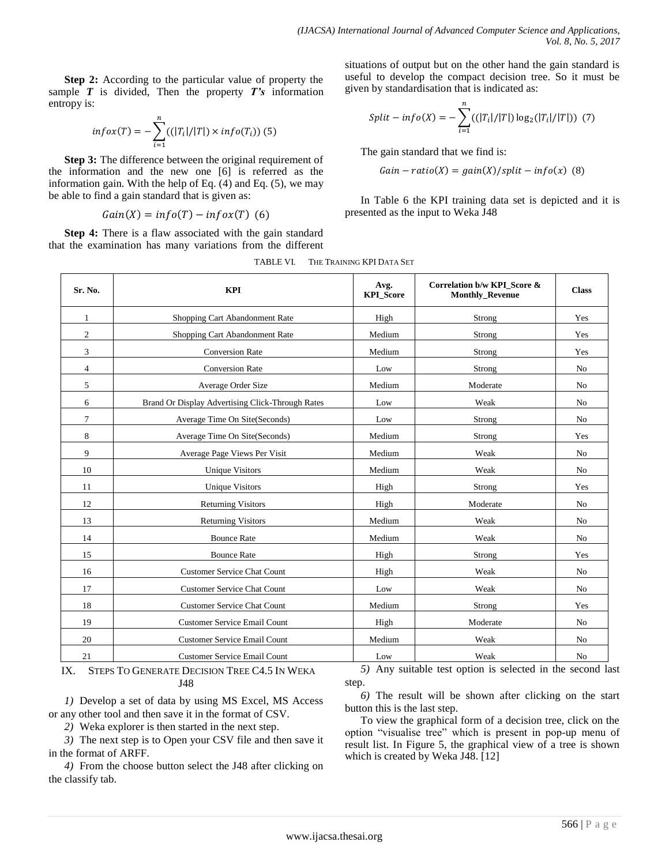**Step 2:** According to the particular value of property the sample  $T$  is divided, Then the property  $T's$  information entropy is:

$$
infox(T) = -\sum_{i=1}^{n} ((|T_i|/|T|) \times info(T_i))
$$
 (5)

**Step 3:** The difference between the original requirement of the information and the new one [6] is referred as the information gain. With the help of Eq. (4) and Eq. (5), we may be able to find a gain standard that is given as:

$$
Gain(X) = info(T) - info(x(T) (6)
$$

**Step 4:** There is a flaw associated with the gain standard that the examination has many variations from the different situations of output but on the other hand the gain standard is useful to develop the compact decision tree. So it must be given by standardisation that is indicated as:

$$
Split - info(X) = -\sum_{i=1}^{n} ((|T_i|/|T|) \log_2(|T_i|/|T|)) (7)
$$

The gain standard that we find is:

$$
Gain-ratio(X) = gain(X)/split - info(x) \quad (8)
$$

In Table 6 the KPI training data set is depicted and it is presented as the input to Weka J48

| TABLE VI. |  | THE TRAINING KPI DATA SET |
|-----------|--|---------------------------|
|-----------|--|---------------------------|

| Sr. No.        | <b>KPI</b>                                       | Avg.<br><b>KPI_Score</b> | Correlation b/w KPI Score &<br><b>Monthly_Revenue</b> | <b>Class</b>   |
|----------------|--------------------------------------------------|--------------------------|-------------------------------------------------------|----------------|
| 1              | Shopping Cart Abandonment Rate                   | High                     | Strong                                                | Yes            |
| $\mathfrak{2}$ | Shopping Cart Abandonment Rate                   | Medium                   | Strong                                                | Yes            |
| 3              | <b>Conversion Rate</b>                           | Medium                   | Strong                                                | Yes            |
| 4              | <b>Conversion Rate</b>                           | Low                      | Strong                                                | N <sub>o</sub> |
| 5              | Average Order Size                               | Medium                   | Moderate                                              | No             |
| 6              | Brand Or Display Advertising Click-Through Rates | Low                      | Weak                                                  | N <sub>o</sub> |
| $\overline{7}$ | Average Time On Site(Seconds)                    | Low                      | Strong                                                | No             |
| 8              | Average Time On Site(Seconds)                    | Medium                   | Strong                                                | Yes            |
| 9              | Average Page Views Per Visit                     | Medium                   | Weak                                                  | No             |
| 10             | <b>Unique Visitors</b>                           | Medium                   | Weak                                                  | No             |
| 11             | <b>Unique Visitors</b>                           | High                     | Strong                                                | Yes            |
| 12             | <b>Returning Visitors</b>                        | High                     | Moderate                                              | No             |
| 13             | <b>Returning Visitors</b>                        | Medium                   | Weak                                                  | No             |
| 14             | <b>Bounce Rate</b>                               | Medium                   | Weak                                                  | No             |
| 15             | <b>Bounce Rate</b>                               | High                     | Strong                                                | Yes            |
| 16             | <b>Customer Service Chat Count</b>               | High                     | Weak                                                  | N <sub>o</sub> |
| 17             | <b>Customer Service Chat Count</b>               | Low                      | Weak                                                  | No             |
| 18             | <b>Customer Service Chat Count</b>               | Medium                   | Strong                                                | Yes            |
| 19             | <b>Customer Service Email Count</b>              | High                     | Moderate                                              | No             |
| 20             | <b>Customer Service Email Count</b>              | Medium                   | Weak                                                  | No             |
| 21             | <b>Customer Service Email Count</b>              | Low                      | Weak                                                  | No             |

IX. STEPS TO GENERATE DECISION TREE C4.5 IN WEKA J48

*1)* Develop a set of data by using MS Excel, MS Access or any other tool and then save it in the format of CSV.

*2)* Weka explorer is then started in the next step.

*3)* The next step is to Open your CSV file and then save it in the format of ARFF.

*4)* From the choose button select the J48 after clicking on the classify tab.

*5)* Any suitable test option is selected in the second last step.

*6)* The result will be shown after clicking on the start button this is the last step.

To view the graphical form of a decision tree, click on the option "visualise tree" which is present in pop-up menu of result list. In Figure 5, the graphical view of a tree is shown which is created by Weka J48. [12]